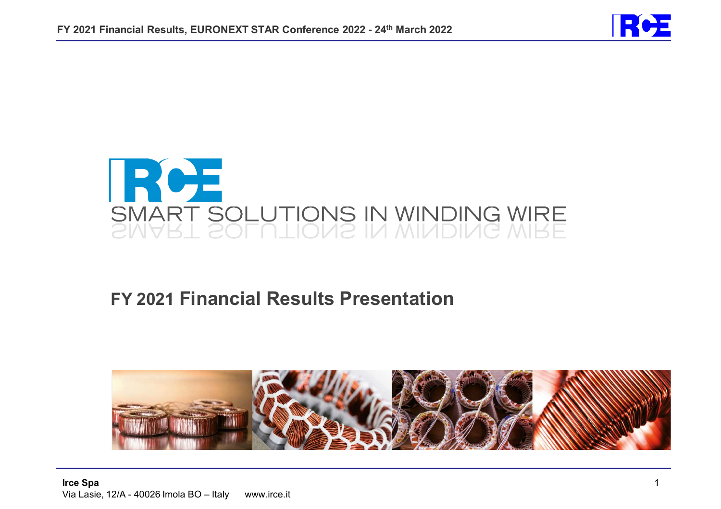



# **FY 2021 Financial Results Presentation**

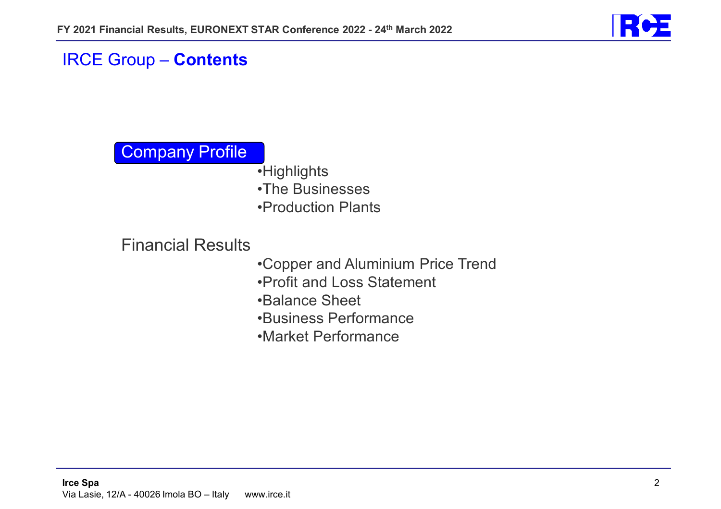

## IRCE Group – **Contents**

# Company Profile

- •Highlights •The Businesses
- •Production Plants

## Financial Results

- •Copper and Aluminium Price Trend
- •Profit and Loss Statement
- •Balance Sheet
- •Business Performance
- •Market Performance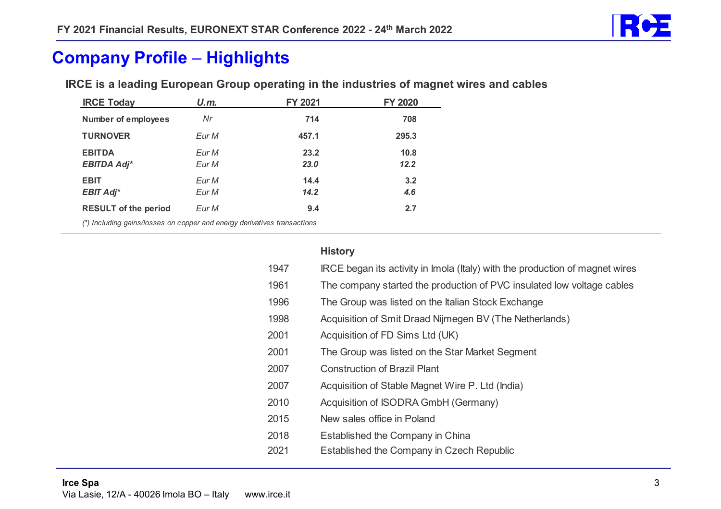

### **Company Profile Highlights**

| <b>IRCE Today</b>                                                        | U.m.  | FY 2021 | <b>FY 2020</b> |
|--------------------------------------------------------------------------|-------|---------|----------------|
| <b>Number of employees</b>                                               | Nr    | 714     | 708            |
| <b>TURNOVER</b>                                                          | Eur M | 457.1   | 295.3          |
| <b>EBITDA</b>                                                            | Eur M | 23.2    | 10.8           |
| <b>EBITDA Adj*</b>                                                       | Eur M | 23.0    | 12.2           |
| <b>EBIT</b>                                                              | Eur M | 14.4    | 3.2            |
| <b>EBIT Adj*</b>                                                         | Eur M | 14.2    | 4.6            |
| <b>RESULT of the period</b>                                              | Eur M | 9.4     | 2.7            |
| (*) Including gains/losses on copper and energy derivatives transactions |       |         |                |

IRCE is a leading European Group operating in the industries of magnet wires and cables

|      | <b>History</b>                                                               |
|------|------------------------------------------------------------------------------|
| 1947 | IRCE began its activity in Imola (Italy) with the production of magnet wires |
| 1961 | The company started the production of PVC insulated low voltage cables       |
| 1996 | The Group was listed on the Italian Stock Exchange                           |
| 1998 | Acquisition of Smit Draad Nijmegen BV (The Netherlands)                      |
| 2001 | Acquisition of FD Sims Ltd (UK)                                              |
| 2001 | The Group was listed on the Star Market Segment                              |
| 2007 | <b>Construction of Brazil Plant</b>                                          |
| 2007 | Acquisition of Stable Magnet Wire P. Ltd (India)                             |
| 2010 | Acquisition of ISODRA GmbH (Germany)                                         |
| 2015 | New sales office in Poland                                                   |
| 2018 | Established the Company in China                                             |
| 2021 | Established the Company in Czech Republic                                    |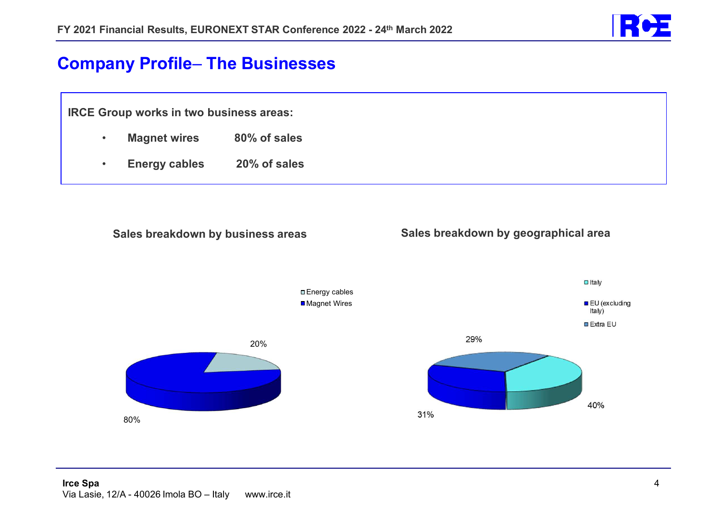

#### **Company Profile**  $\mathcal{L}_{\mathcal{A}}$ **The Businesses**

**IRCE Group works in two business areas:** 

- •**Magnet wires 80% of sales**
- •**Energy cables 20% of sales**





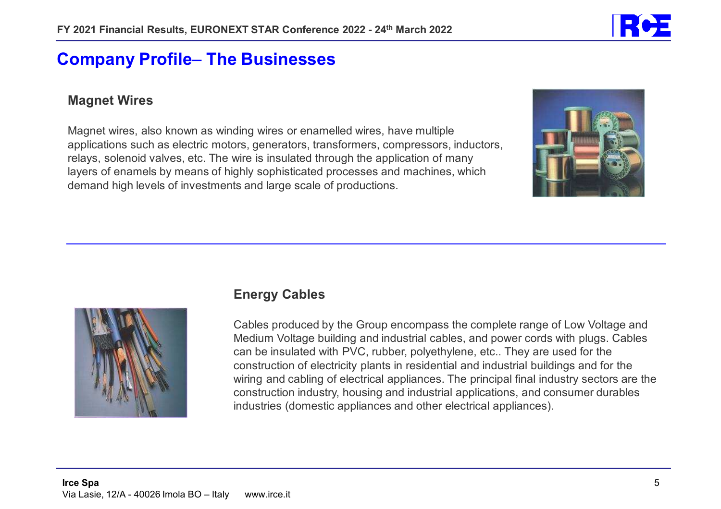

### **Company Profile The Businesses**

### **Magnet Wires**

Magnet wires, also known as winding wires or enamelled wires, have multiple applications such as electric motors, generators, transformers, compressors, inductors, relays, solenoid valves, etc. The wire is insulated through the application of many layers of enamels by means of highly sophisticated processes and machines, which demand high levels of investments and large scale of productions.





### **Energy Cables**

Cables produced by the Group encompass the complete range of Low Voltage and Medium Voltage building and industrial cables, and power cords with plugs. Cables can be insulated with PVC, rubber, polyethylene, etc.. They are used for the construction of electricity plants in residential and industrial buildings and for the wiring and cabling of electrical appliances. The principal final industry sectors are the construction industry, housing and industrial applications, and consumer durables industries (domestic appliances and other electrical appliances).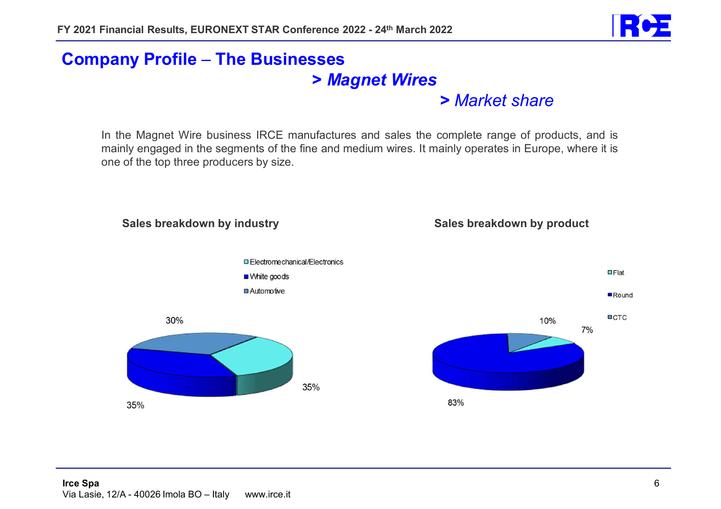

#### **Company Profile** – <del>Jan Karl II.</del><br>Vyhy tysy **The Businesses >** *Magnet Wires*

*> Market share*

In the Magnet Wire business IRCE manufactures and sales the complete range of products, and is mainly engaged in the segments of the fine and medium wires. It mainly operates in Europe, where it is one of the top three producers by size.

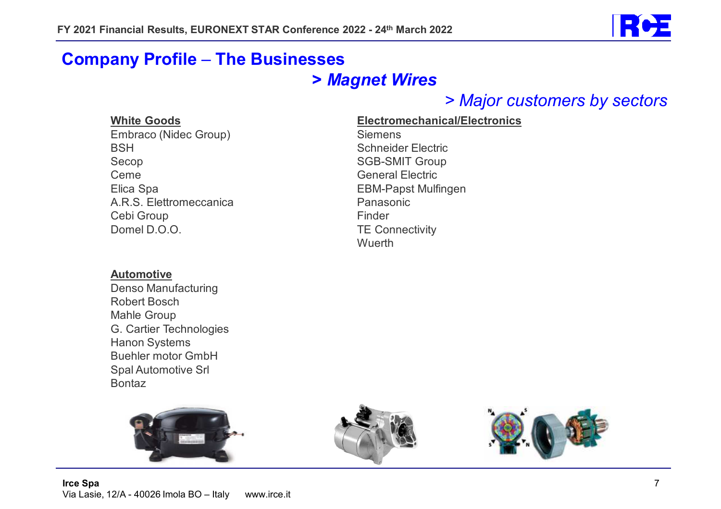

#### **Company Profile** – <del>Jan Karl II.</del><br>Vyhy tysy **The Businesses**

# **>** *Magnet Wires*

*> Major customers by sectors*

#### **White Goods**

Embraco (Nidec Group) **BSH**  Secop Ceme Elica Spa A.R.S. Elettromeccanica Cebi Group Domel D.O.O.

#### **Automotive**

 Denso Manufacturing Robert Bosch Mahle Group G. Cartier Technologies Hanon Systems Buehler motor GmbH Spal Automotive Srl Bontaz

**Electromechanical/ElectronicsSiemens** Schneider Electric<br>SCR SMIT Creus SGB-SMIT Group General Electric EBM-Papst Mulfingen PanasonicFinderTE Connectivity Wuerth

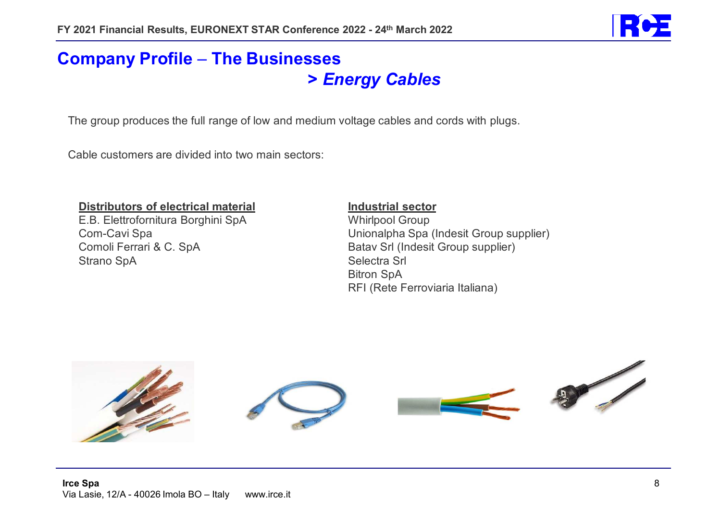

### **Company Profile The Businesses >** *Energy Cables*

The group produces the full range of low and medium voltage cables and cords with plugs.

Cable customers are divided into two main sectors:

#### **Distributors of electrical material**

E.B. Elettrofornitura Borghini SpA Com-Cavi Spa Comoli Ferrari & C. SpA Strano SpA

#### **Industrial sector**

Whirlpool Group Unionalpha Spa (Indesit Group supplier) Batav Srl (Indesit Group supplier) Selectra Srl Bitron SpA RFI (Rete Ferroviaria Italiana)

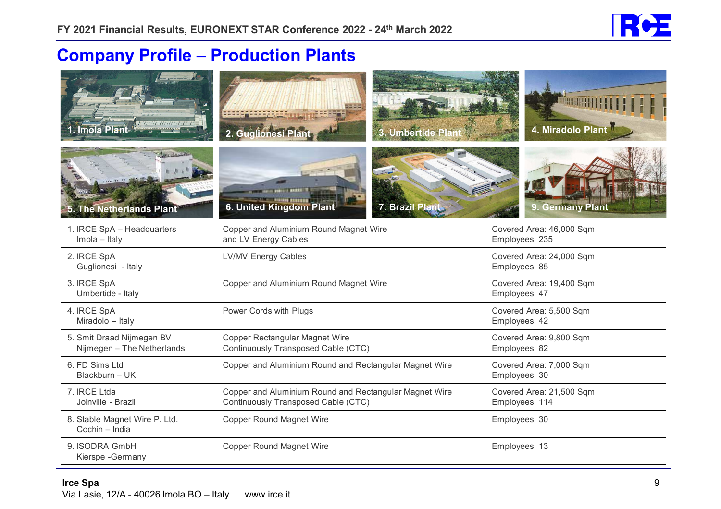

### **Company Profile Production Plants**

| 7778777777777777777<br>Imola Plant                      | 3. Umbertide Plant<br>2. Guglionesi                                                           | <b>MANUS REAL PROPERTY</b><br>4. Miradolo Plant |
|---------------------------------------------------------|-----------------------------------------------------------------------------------------------|-------------------------------------------------|
| 5. The Netherlands Plant                                | 6. United Kingdom Plant<br>7. Brazil Plant                                                    | 9. Germany Plant                                |
| 1. IRCE SpA - Headquarters<br>Imola - Italy             | Copper and Aluminium Round Magnet Wire<br>and LV Energy Cables                                | Covered Area: 46,000 Sqm<br>Employees: 235      |
| 2. IRCE SpA<br>Guglionesi - Italy                       | <b>LV/MV Energy Cables</b>                                                                    | Covered Area: 24,000 Sqm<br>Employees: 85       |
| 3. IRCE SpA<br>Umbertide - Italy                        | Copper and Aluminium Round Magnet Wire                                                        | Covered Area: 19,400 Sqm<br>Employees: 47       |
| 4. IRCE SpA<br>Miradolo - Italy                         | Power Cords with Plugs                                                                        | Covered Area: 5,500 Sqm<br>Employees: 42        |
| 5. Smit Draad Nijmegen BV<br>Nijmegen - The Netherlands | Copper Rectangular Magnet Wire<br>Continuously Transposed Cable (CTC)                         | Covered Area: 9,800 Sqm<br>Employees: 82        |
| 6. FD Sims Ltd<br>Blackburn - UK                        | Copper and Aluminium Round and Rectangular Magnet Wire                                        | Covered Area: 7,000 Sqm<br>Employees: 30        |
| 7. IRCE Ltda<br>Joinville - Brazil                      | Copper and Aluminium Round and Rectangular Magnet Wire<br>Continuously Transposed Cable (CTC) | Covered Area: 21,500 Sqm<br>Employees: 114      |
| 8. Stable Magnet Wire P. Ltd.<br>Cochin - India         | <b>Copper Round Magnet Wire</b>                                                               | Employees: 30                                   |
| 9. ISODRA GmbH<br>Kierspe - Germany                     | <b>Copper Round Magnet Wire</b>                                                               | Employees: 13                                   |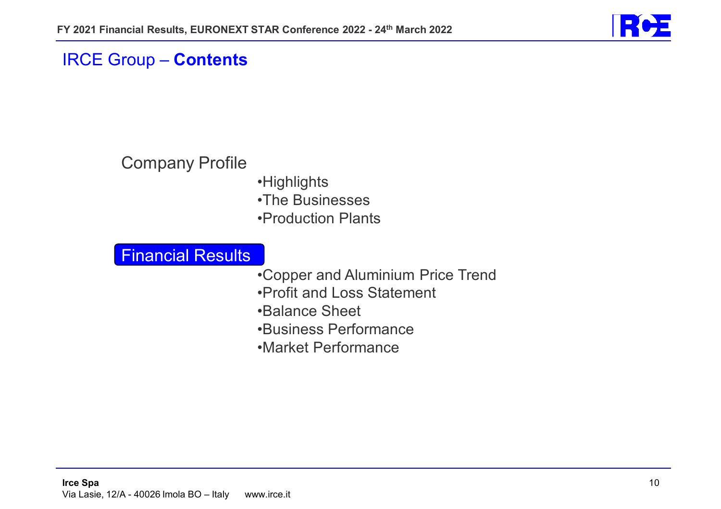

### IRCE Group – **Contents**

# Company Profile

•Highlights •The Businesses •Production Plants

### Financial Results

- •Copper and Aluminium Price Trend
- •Profit and Loss Statement
- •Balance Sheet
- •Business Performance
- •Market Performance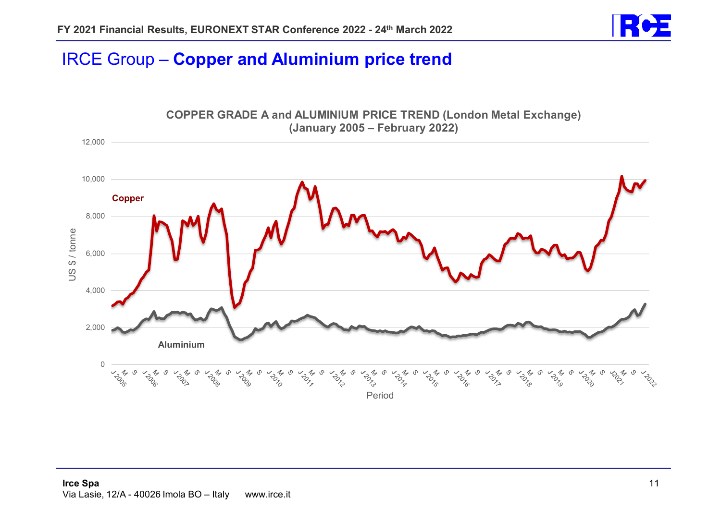

# IRCE Group – **Copper and Aluminium price trend**

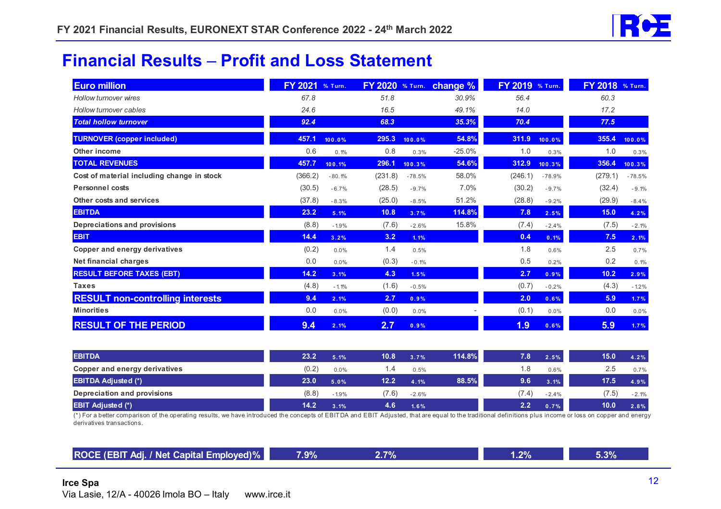![](_page_11_Picture_1.jpeg)

#### **Financial Results Profit and Loss Statement**

| <b>Euro million</b>                        | <b>FY 2021</b> | % Turn.  | <b>FY 2020</b> % Turn. |          | change % | FY 2019 % Turn. |          | FY 2018 % Turn. |          |
|--------------------------------------------|----------------|----------|------------------------|----------|----------|-----------------|----------|-----------------|----------|
| Hollow turnover wires                      | 67.8           |          | 51.8                   |          | 30.9%    | 56.4            |          | 60.3            |          |
| Hollow turnover cables                     | 24.6           |          | 16.5                   |          | 49.1%    | 14.0            |          | 17.2            |          |
| <b>Total hollow turnover</b>               | 92.4           |          | 68.3                   |          | 35.3%    | 70.4            |          | 77.5            |          |
| <b>TURNOVER (copper included)</b>          | 457.1          | 100.0%   | 295.3                  | 100.0%   | 54.8%    | 311.9           | 100.0%   | 355.4           | 100.0%   |
| Other income                               | 0.6            | 0.1%     | 0.8                    | 0.3%     | $-25.0%$ | 1.0             | 0.3%     | 1.0             | 0.3%     |
| <b>TOTAL REVENUES</b>                      | 457.7          | 100.1%   | 296.1                  | 100.3%   | 54.6%    | 312.9           | 100.3%   | 356.4           | 100.3%   |
| Cost of material including change in stock | (366.2)        | $-80.1%$ | (231.8)                | $-78.5%$ | 58.0%    | (246.1)         | $-78.9%$ | (279.1)         | $-78.5%$ |
| <b>Personnel costs</b>                     | (30.5)         | $-6.7%$  | (28.5)                 | $-9.7%$  | 7.0%     | (30.2)          | $-9.7%$  | (32.4)          | $-9.1%$  |
| Other costs and services                   | (37.8)         | $-8.3%$  | (25.0)                 | $-8.5%$  | 51.2%    | (28.8)          | $-9.2%$  | (29.9)          | $-8.4%$  |
| <b>EBITDA</b>                              | 23.2           | 5.1%     | 10.8                   | 3.7%     | 114.8%   | 7.8             | 2.5%     | 15.0            | 4.2%     |
| Depreciations and provisions               | (8.8)          | $-1.9%$  | (7.6)                  | $-2.6%$  | 15.8%    | (7.4)           | $-2.4%$  | (7.5)           | $-2.1%$  |
| <b>EBIT</b>                                | 14.4           | 3.2%     | 3.2                    | 1.1%     |          | 0.4             | 0.1%     | 7.5             | 2.1%     |
| <b>Copper and energy derivatives</b>       | (0.2)          | 0.0%     | 1.4                    | 0.5%     |          | 1.8             | 0.6%     | 2.5             | 0.7%     |
| Net financial charges                      | 0.0            | 0.0%     | (0.3)                  | $-0.1%$  |          | 0.5             | 0.2%     | 0.2             | 0.1%     |
| <b>RESULT BEFORE TAXES (EBT)</b>           | 14.2           | 3.1%     | 4.3                    | 1.5%     |          | 2.7             | 0.9%     | 10.2            | 2.9%     |
| <b>Taxes</b>                               | (4.8)          | $-1.1%$  | (1.6)                  | $-0.5%$  |          | (0.7)           | $-0.2%$  | (4.3)           | $-1.2%$  |
| <b>RESULT non-controlling interests</b>    | 9.4            | 2.1%     | 2.7                    | 0.9%     |          | 2.0             | 0.6%     | 5.9             | 1.7%     |
| <b>Minorities</b>                          | 0.0            | 0.0%     | (0.0)                  | 0.0%     |          | (0.1)           | 0.0%     | 0.0             | 0.0%     |
| <b>RESULT OF THE PERIOD</b>                | 9.4            | 2.1%     | 2.7                    | 0.9%     |          | 1.9             | 0.6%     | 5.9             | 1.7%     |

| <b>EBITDA</b>                                                                                                                                                                                             | 23.2  | 5.1%    | 10.8  | 3.7%    | 114.8% | 7.8   | 2.5%    | 15.0 | 4.2%    |
|-----------------------------------------------------------------------------------------------------------------------------------------------------------------------------------------------------------|-------|---------|-------|---------|--------|-------|---------|------|---------|
| Copper and energy derivatives                                                                                                                                                                             |       | 0.0%    |       | $0.5\%$ |        | . .8  | 0.6%    | 2.5  | 0.7%    |
| <b>EBITDA Adjusted (*)</b>                                                                                                                                                                                | 23.0  | 5.0%    | 12.2  | 4.1%    | 88.5%  | 9.6   | 3.1%    | 17.5 | 4.9%    |
| Depreciation and provisions                                                                                                                                                                               | (8.8) | $-1.9%$ | (7.6) | $-2.6%$ |        | (7.4) | $-2.4%$ | 7.5) | $-2.1%$ |
| <b>EBIT Adjusted (*)</b>                                                                                                                                                                                  | 14.2  | 3.1%    | 4.6   | 1.6%    |        | 2.2   | 0.7%    | 10.0 | 2.8%    |
| (*) For a better comparison of the operating results, we have introduced the concepts of EBITDA and EBIT Adjusted, that are equal to the traditional definitions plus income or loss on copper and energy |       |         |       |         |        |       |         |      |         |

derivatives transactions.

**ROCE (EBIT Adj. / Net Capital Employed)% 7.9% 2.7% 1.2% 5.3%**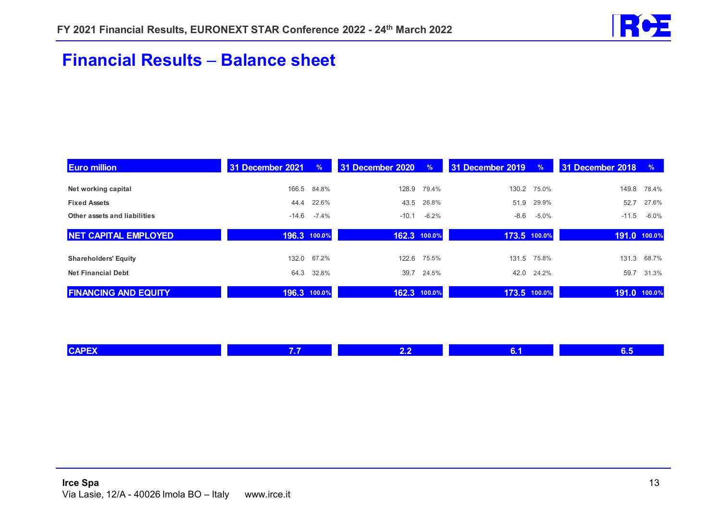![](_page_12_Picture_1.jpeg)

### **Financial Results Balance sheet**

| <b>Euro million</b>          | 31 December 2021 | $\%$         | 31 December 2020 | $\%$         | 31 December 2019 | $\%$         | 31 December 2018 | $\%$     |
|------------------------------|------------------|--------------|------------------|--------------|------------------|--------------|------------------|----------|
| Net working capital          | 166.5            | 84.8%        | 128.9            | 79.4%        | 130.2            | 75.0%        | 149.8            | 78.4%    |
| <b>Fixed Assets</b>          | 44.4             | 22.6%        | 43.5             | 26.8%        | 51.9             | 29.9%        | 52.7             | 27.6%    |
| Other assets and liabilities | $-14.6$          | $-7.4%$      | $-10.1$          | $-6.2%$      | -8.6             | $-5.0\%$     | $-11.5$          | $-6.0\%$ |
| <b>NET CAPITAL EMPLOYED</b>  |                  | 196.3 100.0% |                  | 162.3 100.0% | 173.5 100.0%     |              | 191.0 100.0%     |          |
| <b>Shareholders' Equity</b>  | 132.0            | 67.2%        | 122.6            | 75.5%        | 131.5            | 75.8%        | 131.3            | 68.7%    |
| <b>Net Financial Debt</b>    | 64.3             | 32.8%        | 39.7             | 24.5%        |                  | 42.0 24.2%   | 59.7             | 31.3%    |
| <b>FINANCING AND EQUITY</b>  | 196.3 100.0%     |              |                  | 162.3 100.0% |                  | 173.5 100.0% | 191.0 100.0%     |          |

| <b>ICAPE</b> | <b>. .</b><br>-- | 75 F |  |
|--------------|------------------|------|--|
|              |                  |      |  |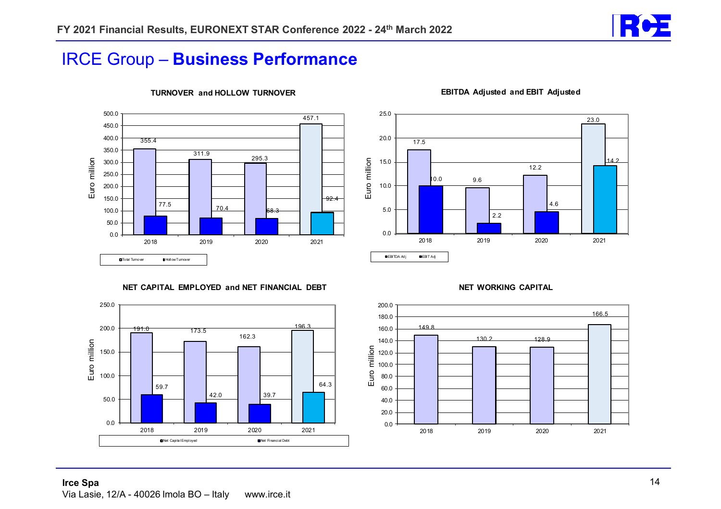![](_page_13_Picture_1.jpeg)

### IRCE Group – **Business Performance**

![](_page_13_Figure_3.jpeg)

#### **TURNOVER and HOLLOW TURNOVER**

![](_page_13_Figure_5.jpeg)

#### **EBITDA Adjusted and EBIT Adjusted**

**NET CAPITAL EMPLOYED and NET FINANCIAL DEBT**

![](_page_13_Figure_8.jpeg)

#### **NET WORKING CAPITAL**

![](_page_13_Figure_10.jpeg)